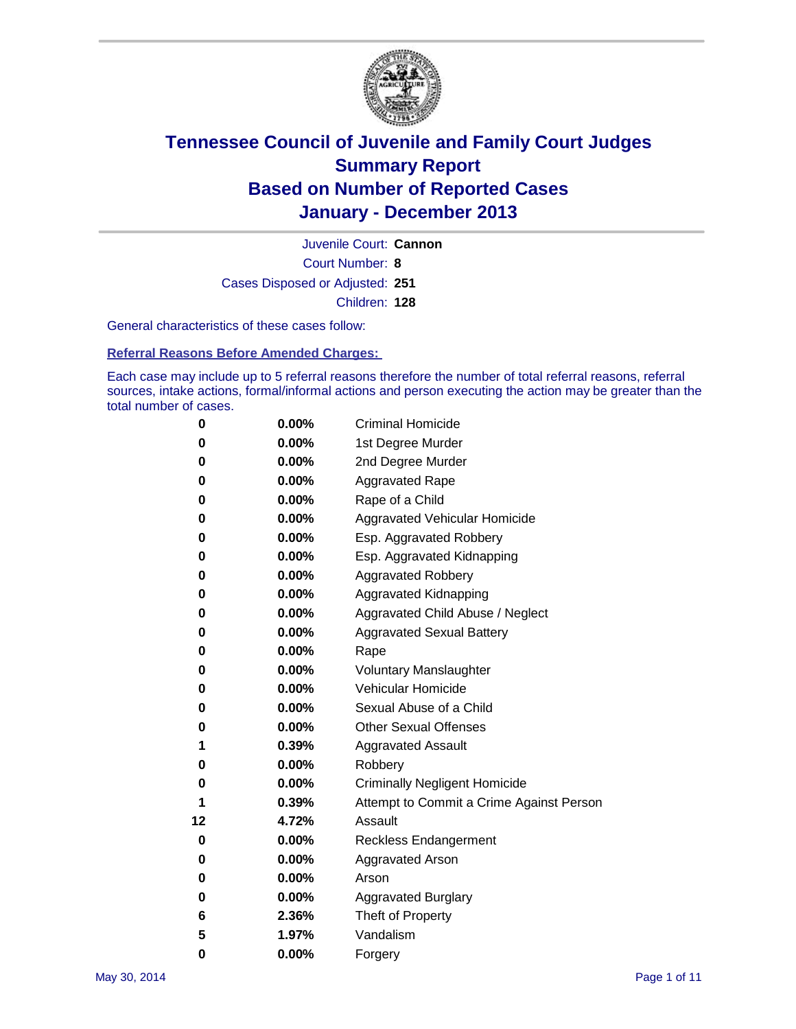

Court Number: **8** Juvenile Court: **Cannon** Cases Disposed or Adjusted: **251** Children: **128**

General characteristics of these cases follow:

**Referral Reasons Before Amended Charges:** 

Each case may include up to 5 referral reasons therefore the number of total referral reasons, referral sources, intake actions, formal/informal actions and person executing the action may be greater than the total number of cases.

| 0  | $0.00\%$ | <b>Criminal Homicide</b>                 |
|----|----------|------------------------------------------|
| 0  | 0.00%    | 1st Degree Murder                        |
| 0  | 0.00%    | 2nd Degree Murder                        |
| 0  | $0.00\%$ | <b>Aggravated Rape</b>                   |
| 0  | 0.00%    | Rape of a Child                          |
| 0  | 0.00%    | <b>Aggravated Vehicular Homicide</b>     |
| 0  | $0.00\%$ | Esp. Aggravated Robbery                  |
| 0  | 0.00%    | Esp. Aggravated Kidnapping               |
| 0  | 0.00%    | <b>Aggravated Robbery</b>                |
| 0  | $0.00\%$ | Aggravated Kidnapping                    |
| 0  | 0.00%    | Aggravated Child Abuse / Neglect         |
| 0  | 0.00%    | <b>Aggravated Sexual Battery</b>         |
| 0  | 0.00%    | Rape                                     |
| 0  | 0.00%    | <b>Voluntary Manslaughter</b>            |
| 0  | 0.00%    | Vehicular Homicide                       |
| 0  | 0.00%    | Sexual Abuse of a Child                  |
| 0  | 0.00%    | <b>Other Sexual Offenses</b>             |
| 1  | 0.39%    | <b>Aggravated Assault</b>                |
| 0  | 0.00%    | Robbery                                  |
| 0  | 0.00%    | <b>Criminally Negligent Homicide</b>     |
| 1  | 0.39%    | Attempt to Commit a Crime Against Person |
| 12 | 4.72%    | Assault                                  |
| 0  | 0.00%    | <b>Reckless Endangerment</b>             |
| 0  | 0.00%    | <b>Aggravated Arson</b>                  |
| 0  | 0.00%    | Arson                                    |
| 0  | 0.00%    | <b>Aggravated Burglary</b>               |
| 6  | 2.36%    | Theft of Property                        |
| 5  | 1.97%    | Vandalism                                |
| 0  | 0.00%    | Forgery                                  |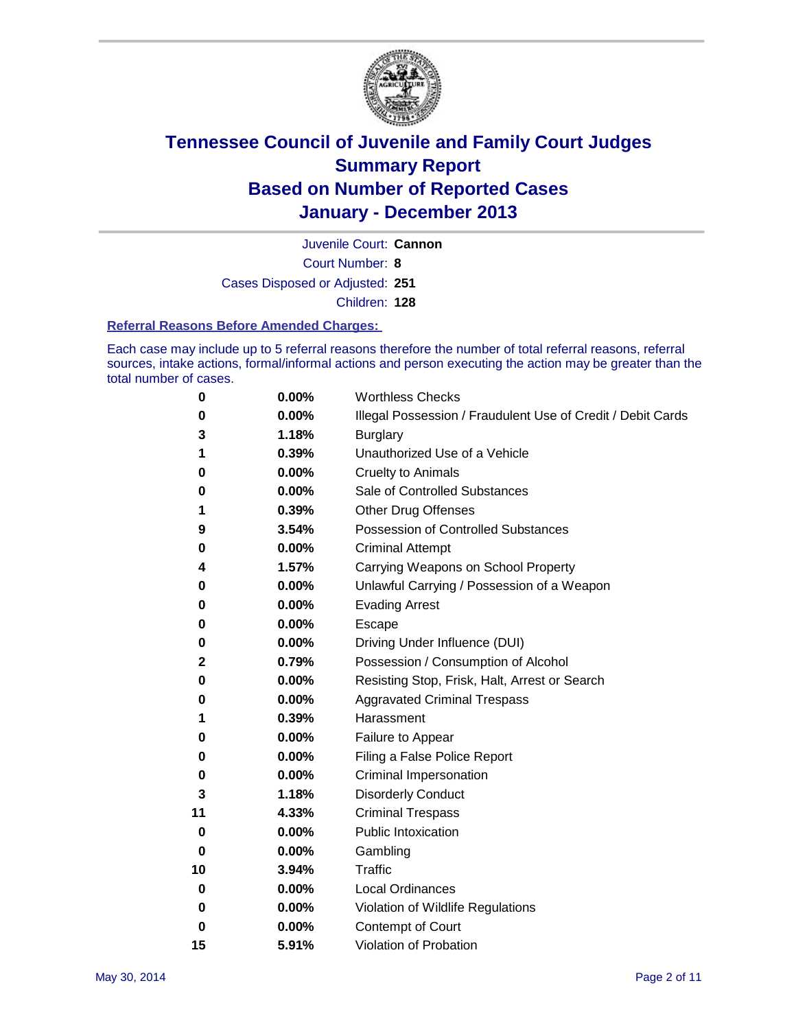

Court Number: **8** Juvenile Court: **Cannon** Cases Disposed or Adjusted: **251** Children: **128**

#### **Referral Reasons Before Amended Charges:**

Each case may include up to 5 referral reasons therefore the number of total referral reasons, referral sources, intake actions, formal/informal actions and person executing the action may be greater than the total number of cases.

| $\boldsymbol{0}$ | 0.00% | <b>Worthless Checks</b>                                     |
|------------------|-------|-------------------------------------------------------------|
| 0                | 0.00% | Illegal Possession / Fraudulent Use of Credit / Debit Cards |
| 3                | 1.18% | <b>Burglary</b>                                             |
| 1                | 0.39% | Unauthorized Use of a Vehicle                               |
| 0                | 0.00% | <b>Cruelty to Animals</b>                                   |
| 0                | 0.00% | Sale of Controlled Substances                               |
| 1                | 0.39% | <b>Other Drug Offenses</b>                                  |
| 9                | 3.54% | Possession of Controlled Substances                         |
| 0                | 0.00% | <b>Criminal Attempt</b>                                     |
| 4                | 1.57% | Carrying Weapons on School Property                         |
| 0                | 0.00% | Unlawful Carrying / Possession of a Weapon                  |
| 0                | 0.00% | <b>Evading Arrest</b>                                       |
| 0                | 0.00% | Escape                                                      |
| 0                | 0.00% | Driving Under Influence (DUI)                               |
| 2                | 0.79% | Possession / Consumption of Alcohol                         |
| 0                | 0.00% | Resisting Stop, Frisk, Halt, Arrest or Search               |
| 0                | 0.00% | <b>Aggravated Criminal Trespass</b>                         |
| 1                | 0.39% | Harassment                                                  |
| 0                | 0.00% | Failure to Appear                                           |
| 0                | 0.00% | Filing a False Police Report                                |
| 0                | 0.00% | Criminal Impersonation                                      |
| 3                | 1.18% | <b>Disorderly Conduct</b>                                   |
| 11               | 4.33% | <b>Criminal Trespass</b>                                    |
| 0                | 0.00% | <b>Public Intoxication</b>                                  |
| 0                | 0.00% | Gambling                                                    |
| 10               | 3.94% | Traffic                                                     |
| 0                | 0.00% | <b>Local Ordinances</b>                                     |
| 0                | 0.00% | Violation of Wildlife Regulations                           |
| 0                | 0.00% | Contempt of Court                                           |
| 15               | 5.91% | Violation of Probation                                      |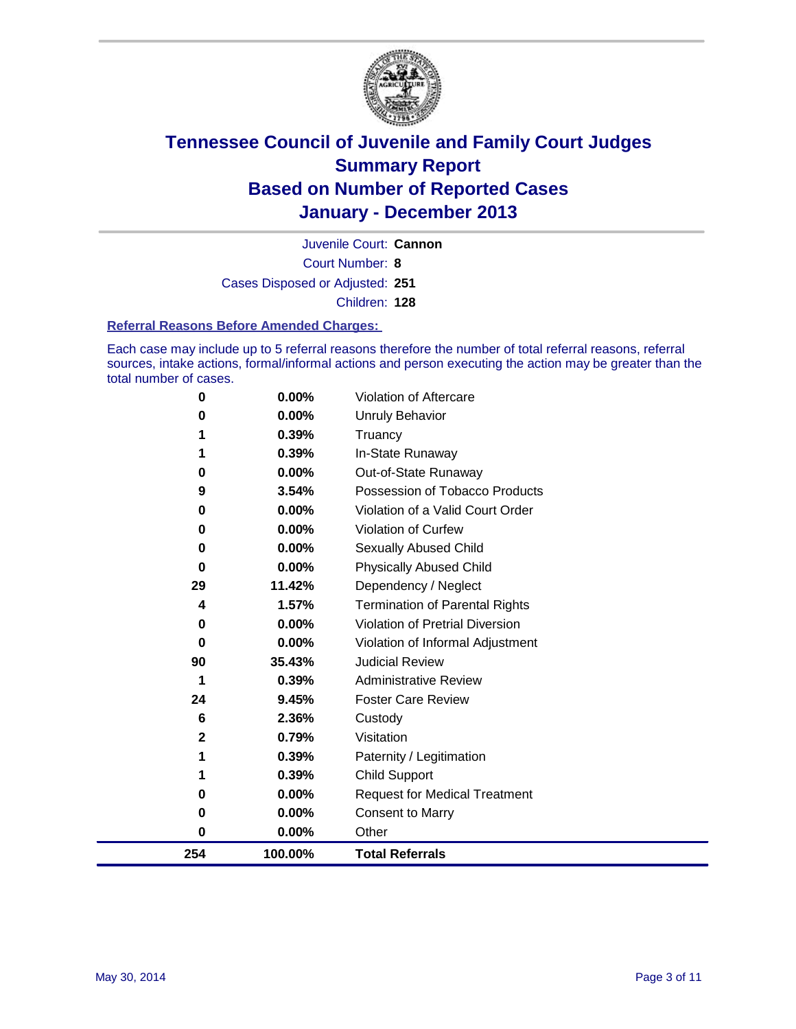

Court Number: **8** Juvenile Court: **Cannon** Cases Disposed or Adjusted: **251** Children: **128**

#### **Referral Reasons Before Amended Charges:**

Each case may include up to 5 referral reasons therefore the number of total referral reasons, referral sources, intake actions, formal/informal actions and person executing the action may be greater than the total number of cases.

| 0   | 0.00%   | Violation of Aftercare                 |
|-----|---------|----------------------------------------|
| 0   | 0.00%   | <b>Unruly Behavior</b>                 |
|     | 0.39%   | Truancy                                |
| 1   | 0.39%   | In-State Runaway                       |
| 0   | 0.00%   | Out-of-State Runaway                   |
| 9   | 3.54%   | Possession of Tobacco Products         |
| 0   | 0.00%   | Violation of a Valid Court Order       |
| 0   | 0.00%   | Violation of Curfew                    |
| 0   | 0.00%   | Sexually Abused Child                  |
| 0   | 0.00%   | <b>Physically Abused Child</b>         |
| 29  | 11.42%  | Dependency / Neglect                   |
| 4   | 1.57%   | <b>Termination of Parental Rights</b>  |
| 0   | 0.00%   | <b>Violation of Pretrial Diversion</b> |
| 0   | 0.00%   | Violation of Informal Adjustment       |
| 90  | 35.43%  | <b>Judicial Review</b>                 |
| 1   | 0.39%   | <b>Administrative Review</b>           |
| 24  | 9.45%   | <b>Foster Care Review</b>              |
| 6   | 2.36%   | Custody                                |
| 2   | 0.79%   | Visitation                             |
| 1   | 0.39%   | Paternity / Legitimation               |
| 1   | 0.39%   | <b>Child Support</b>                   |
| 0   | 0.00%   | <b>Request for Medical Treatment</b>   |
| 0   | 0.00%   | <b>Consent to Marry</b>                |
| 0   | 0.00%   | Other                                  |
| 254 | 100.00% | <b>Total Referrals</b>                 |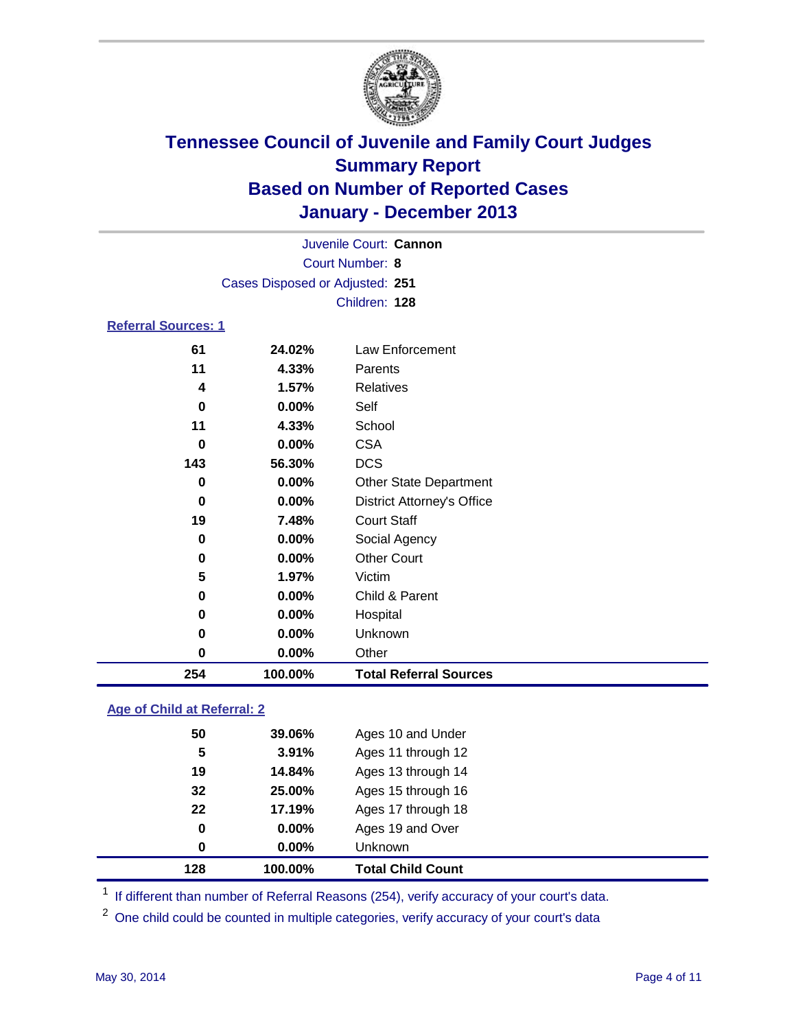

| Juvenile Court: Cannon          |               |                 |  |  |  |  |
|---------------------------------|---------------|-----------------|--|--|--|--|
| Court Number: 8                 |               |                 |  |  |  |  |
| Cases Disposed or Adjusted: 251 |               |                 |  |  |  |  |
|                                 | Children: 128 |                 |  |  |  |  |
| <b>Referral Sources: 1</b>      |               |                 |  |  |  |  |
| 61                              | 24.02%        | Law Enforcement |  |  |  |  |
| 11                              | 4.33%         | Parents         |  |  |  |  |
| 1.57%<br>Relatives<br>4         |               |                 |  |  |  |  |
| 0                               | $0.00\%$      | Self            |  |  |  |  |

| 254      | 100.00% | <b>Total Referral Sources</b>     |
|----------|---------|-----------------------------------|
| 0        | 0.00%   | Other                             |
| 0        | 0.00%   | Unknown                           |
| 0        | 0.00%   | Hospital                          |
| $\bf{0}$ | 0.00%   | Child & Parent                    |
| 5        | 1.97%   | Victim                            |
| 0        | 0.00%   | <b>Other Court</b>                |
| $\bf{0}$ | 0.00%   | Social Agency                     |
| 19       | 7.48%   | <b>Court Staff</b>                |
| $\bf{0}$ | 0.00%   | <b>District Attorney's Office</b> |
| 0        | 0.00%   | <b>Other State Department</b>     |
| 143      | 56.30%  | <b>DCS</b>                        |
| 0        | 0.00%   | <b>CSA</b>                        |
| 11       | 4.33%   | School                            |

### **Age of Child at Referral: 2**

| 0  | 0.00%  | <b>Unknown</b>     |
|----|--------|--------------------|
| 0  | 0.00%  | Ages 19 and Over   |
| 22 | 17.19% | Ages 17 through 18 |
| 32 | 25.00% | Ages 15 through 16 |
| 19 | 14.84% | Ages 13 through 14 |
| 5  | 3.91%  | Ages 11 through 12 |
| 50 | 39.06% | Ages 10 and Under  |
|    |        |                    |

<sup>1</sup> If different than number of Referral Reasons (254), verify accuracy of your court's data.

<sup>2</sup> One child could be counted in multiple categories, verify accuracy of your court's data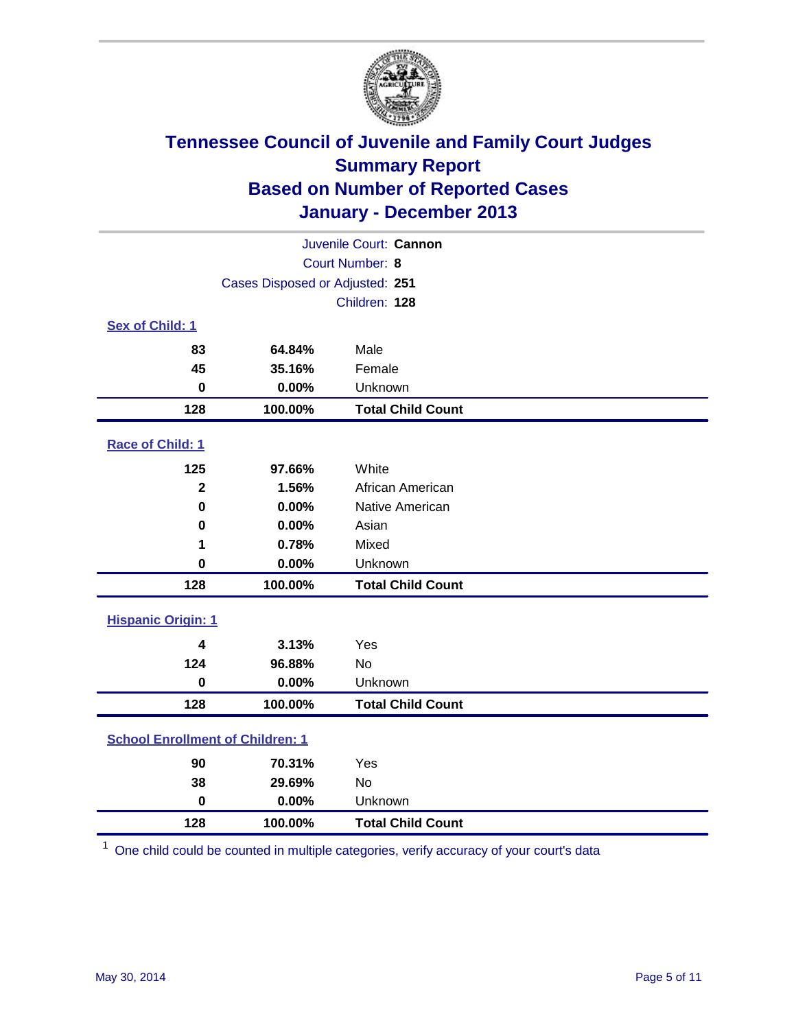

| Juvenile Court: Cannon                  |                                 |                          |  |  |
|-----------------------------------------|---------------------------------|--------------------------|--|--|
|                                         |                                 | Court Number: 8          |  |  |
|                                         | Cases Disposed or Adjusted: 251 |                          |  |  |
|                                         |                                 | Children: 128            |  |  |
| Sex of Child: 1                         |                                 |                          |  |  |
| 83                                      | 64.84%                          | Male                     |  |  |
| 45                                      | 35.16%                          | Female                   |  |  |
| $\bf{0}$                                | 0.00%                           | Unknown                  |  |  |
| 128                                     | 100.00%                         | <b>Total Child Count</b> |  |  |
| Race of Child: 1                        |                                 |                          |  |  |
| 125                                     | 97.66%                          | White                    |  |  |
| $\overline{\mathbf{2}}$                 | 1.56%                           | African American         |  |  |
| $\mathbf 0$                             | 0.00%                           | Native American          |  |  |
| $\bf{0}$                                | 0.00%                           | Asian                    |  |  |
| 1                                       | 0.78%                           | Mixed                    |  |  |
| $\mathbf 0$                             | 0.00%                           | Unknown                  |  |  |
| 128                                     | 100.00%                         | <b>Total Child Count</b> |  |  |
| <b>Hispanic Origin: 1</b>               |                                 |                          |  |  |
| 4                                       | 3.13%                           | Yes                      |  |  |
| 124                                     | 96.88%                          | <b>No</b>                |  |  |
| $\mathbf 0$                             | 0.00%                           | Unknown                  |  |  |
| 128                                     | 100.00%                         | <b>Total Child Count</b> |  |  |
| <b>School Enrollment of Children: 1</b> |                                 |                          |  |  |
| 90                                      | 70.31%                          | Yes                      |  |  |
| 38                                      | 29.69%                          | <b>No</b>                |  |  |
| $\mathbf 0$                             | 0.00%                           | Unknown                  |  |  |
| 128                                     | 100.00%                         | <b>Total Child Count</b> |  |  |

One child could be counted in multiple categories, verify accuracy of your court's data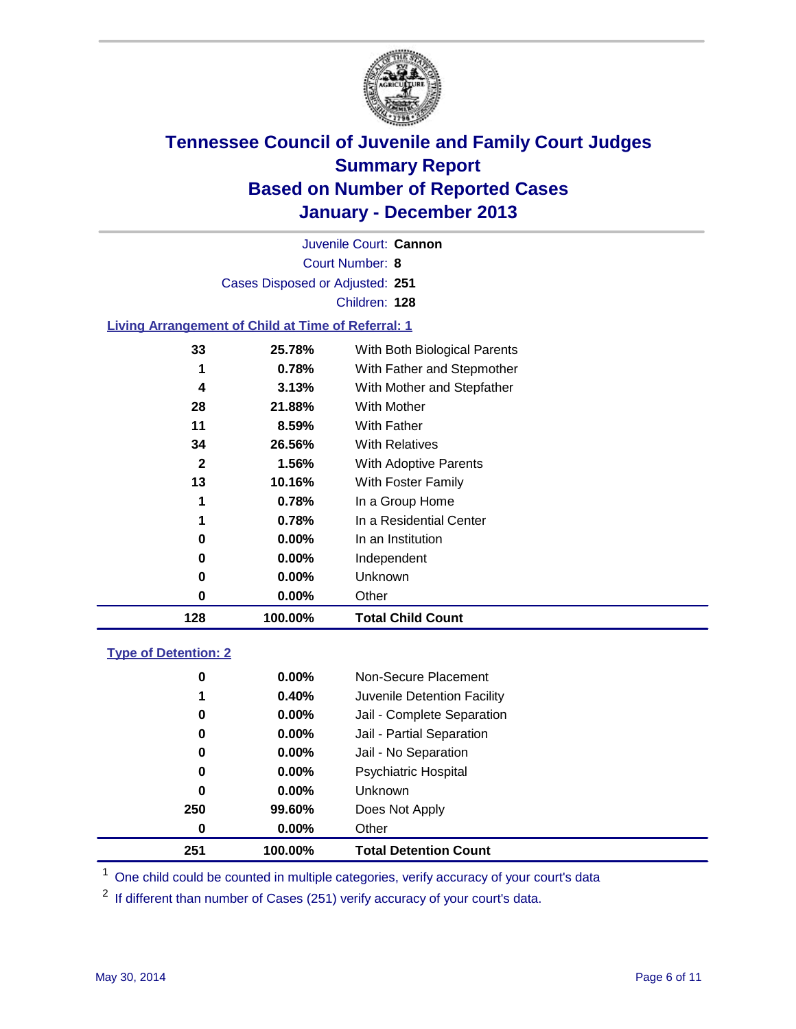

Court Number: **8** Juvenile Court: **Cannon** Cases Disposed or Adjusted: **251** Children: **128**

### **Living Arrangement of Child at Time of Referral: 1**

| 128 | 100.00%  | <b>Total Child Count</b>     |
|-----|----------|------------------------------|
| 0   | 0.00%    | Other                        |
| 0   | $0.00\%$ | Unknown                      |
| 0   | $0.00\%$ | Independent                  |
| 0   | 0.00%    | In an Institution            |
| 1   | 0.78%    | In a Residential Center      |
| 1   | 0.78%    | In a Group Home              |
| 13  | 10.16%   | With Foster Family           |
| 2   | 1.56%    | <b>With Adoptive Parents</b> |
| 34  | 26.56%   | <b>With Relatives</b>        |
| 11  | 8.59%    | With Father                  |
| 28  | 21.88%   | With Mother                  |
| 4   | 3.13%    | With Mother and Stepfather   |
| 1   | 0.78%    | With Father and Stepmother   |
| 33  | 25.78%   | With Both Biological Parents |
|     |          |                              |

### **Type of Detention: 2**

| 251 |     | 100.00%  | <b>Total Detention Count</b> |
|-----|-----|----------|------------------------------|
|     | 0   | $0.00\%$ | Other                        |
|     | 250 | 99.60%   | Does Not Apply               |
|     | 0   | $0.00\%$ | <b>Unknown</b>               |
|     | 0   | $0.00\%$ | <b>Psychiatric Hospital</b>  |
|     | 0   | 0.00%    | Jail - No Separation         |
|     | 0   | $0.00\%$ | Jail - Partial Separation    |
|     | 0   | 0.00%    | Jail - Complete Separation   |
|     | 1   | 0.40%    | Juvenile Detention Facility  |
|     | 0   | $0.00\%$ | Non-Secure Placement         |
|     |     |          |                              |

<sup>1</sup> One child could be counted in multiple categories, verify accuracy of your court's data

If different than number of Cases (251) verify accuracy of your court's data.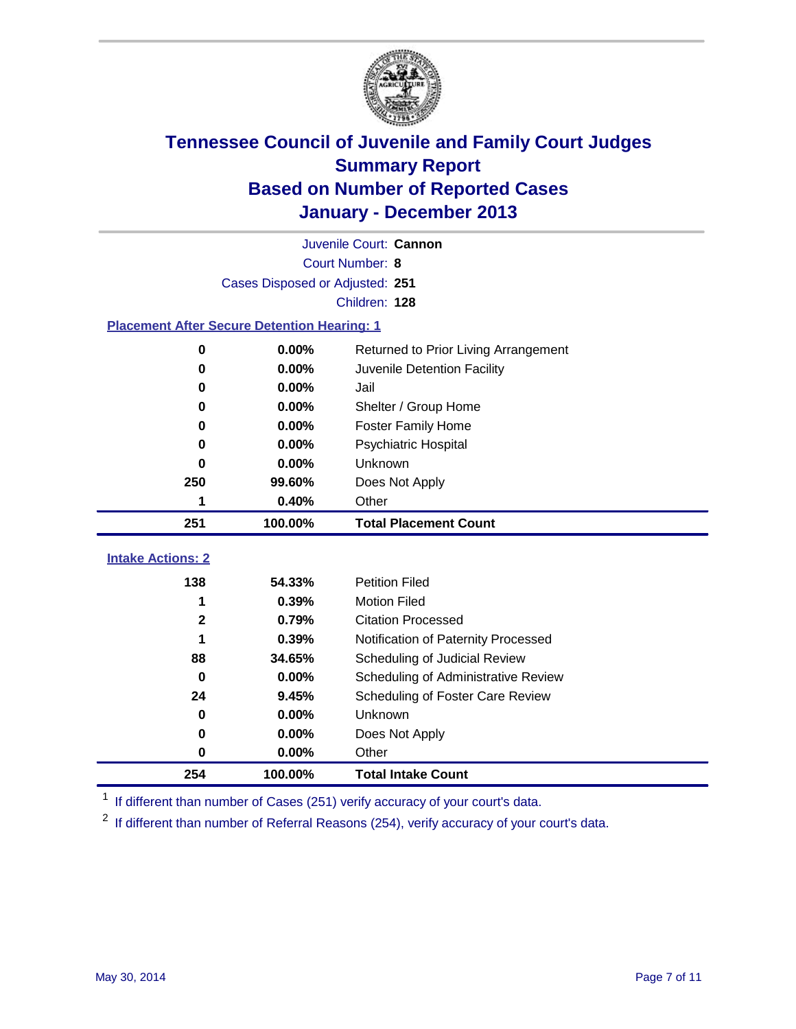

|                                                    | Juvenile Court: Cannon                        |                                     |  |  |  |  |
|----------------------------------------------------|-----------------------------------------------|-------------------------------------|--|--|--|--|
|                                                    | Court Number: 8                               |                                     |  |  |  |  |
|                                                    | Cases Disposed or Adjusted: 251               |                                     |  |  |  |  |
|                                                    |                                               | Children: 128                       |  |  |  |  |
| <b>Placement After Secure Detention Hearing: 1</b> |                                               |                                     |  |  |  |  |
| 0                                                  | 0.00%<br>Returned to Prior Living Arrangement |                                     |  |  |  |  |
| $\bf{0}$                                           | 0.00%<br>Juvenile Detention Facility          |                                     |  |  |  |  |
| 0                                                  | 0.00%                                         | Jail                                |  |  |  |  |
| 0                                                  | 0.00%<br>Shelter / Group Home                 |                                     |  |  |  |  |
| $\bf{0}$                                           | 0.00%                                         | Foster Family Home                  |  |  |  |  |
| $\bf{0}$                                           | 0.00%                                         | Psychiatric Hospital                |  |  |  |  |
| 0                                                  | 0.00%                                         | Unknown                             |  |  |  |  |
| 250                                                | 99.60%                                        | Does Not Apply                      |  |  |  |  |
| 1                                                  | 0.40%                                         | Other                               |  |  |  |  |
|                                                    |                                               |                                     |  |  |  |  |
| 251                                                | 100.00%                                       | <b>Total Placement Count</b>        |  |  |  |  |
|                                                    |                                               |                                     |  |  |  |  |
| <b>Intake Actions: 2</b>                           |                                               |                                     |  |  |  |  |
| 138                                                | 54.33%                                        | <b>Petition Filed</b>               |  |  |  |  |
| 1                                                  | 0.39%                                         | <b>Motion Filed</b>                 |  |  |  |  |
| $\mathbf 2$                                        | 0.79%                                         | <b>Citation Processed</b>           |  |  |  |  |
| 1                                                  | 0.39%                                         | Notification of Paternity Processed |  |  |  |  |
| 88                                                 | 34.65%                                        | Scheduling of Judicial Review       |  |  |  |  |
| $\bf{0}$                                           | 0.00%                                         | Scheduling of Administrative Review |  |  |  |  |
| 24                                                 | 9.45%                                         | Scheduling of Foster Care Review    |  |  |  |  |
| $\bf{0}$                                           | 0.00%                                         | Unknown                             |  |  |  |  |
| $\bf{0}$                                           | 0.00%                                         | Does Not Apply                      |  |  |  |  |
| $\bf{0}$                                           | 0.00%                                         | Other                               |  |  |  |  |

<sup>1</sup> If different than number of Cases (251) verify accuracy of your court's data.

If different than number of Referral Reasons (254), verify accuracy of your court's data.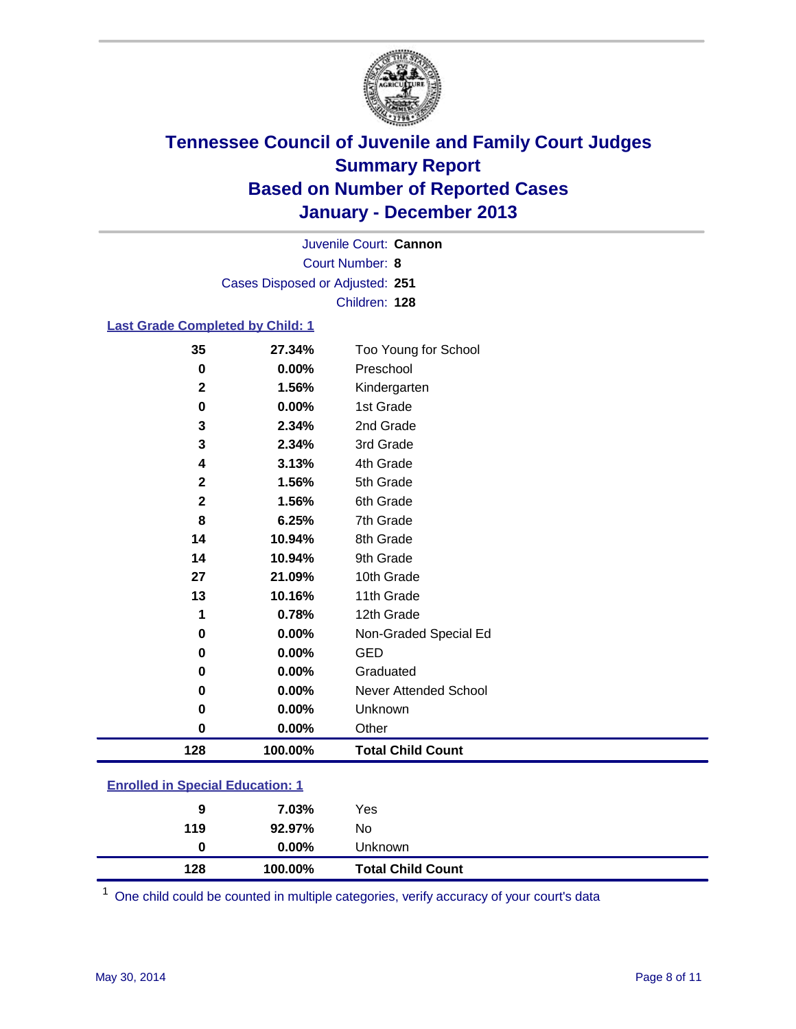

Court Number: **8** Juvenile Court: **Cannon** Cases Disposed or Adjusted: **251** Children: **128**

### **Last Grade Completed by Child: 1**

|             |                      | Too Young for School     |
|-------------|----------------------|--------------------------|
| 0           | 0.00%                | Preschool                |
| $\mathbf 2$ | 1.56%                | Kindergarten             |
| 0           | 0.00%                | 1st Grade                |
| 3           | 2.34%                | 2nd Grade                |
| 3           | 2.34%                | 3rd Grade                |
| 4           | 3.13%                | 4th Grade                |
|             | $\mathbf 2$<br>1.56% | 5th Grade                |
|             | 1.56%<br>2           | 6th Grade                |
| 8           | 6.25%                | 7th Grade                |
| 14          | 10.94%               | 8th Grade                |
| 14          | 10.94%               | 9th Grade                |
| 27          | 21.09%               | 10th Grade               |
| 13          | 10.16%               | 11th Grade               |
| 1           | 0.78%                | 12th Grade               |
| 0           | 0.00%                | Non-Graded Special Ed    |
| 0           | 0.00%                | <b>GED</b>               |
| 0           | 0.00%                | Graduated                |
| 0           | 0.00%                | Never Attended School    |
| 0           | 0.00%                | Unknown                  |
| 0           | 0.00%                | Other                    |
| 128         | 100.00%              | <b>Total Child Count</b> |

| <b>Enrolled in Special Education: 1</b> |  |  |
|-----------------------------------------|--|--|
|                                         |  |  |
|                                         |  |  |

| 128 | 100.00%  | <b>Total Child Count</b> |  |
|-----|----------|--------------------------|--|
| 0   | $0.00\%$ | Unknown                  |  |
| 119 | 92.97%   | No                       |  |
| 9   | 7.03%    | Yes                      |  |

One child could be counted in multiple categories, verify accuracy of your court's data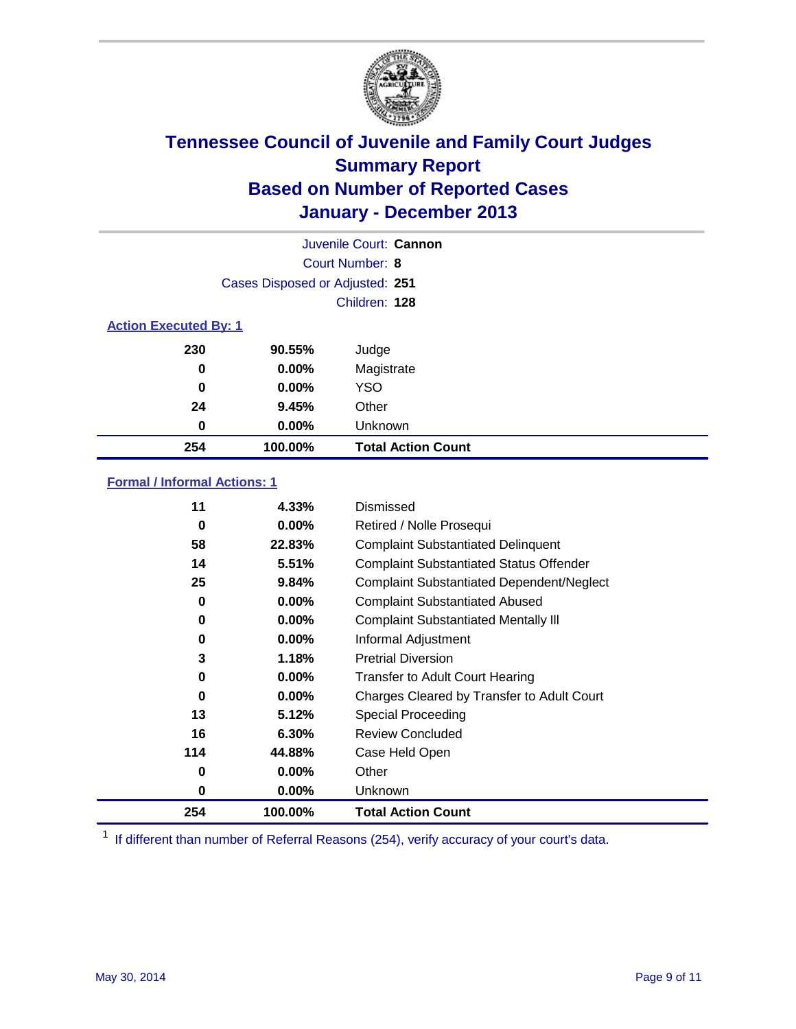

|                              |                                 | Juvenile Court: Cannon    |
|------------------------------|---------------------------------|---------------------------|
|                              |                                 | Court Number: 8           |
|                              | Cases Disposed or Adjusted: 251 |                           |
|                              |                                 | Children: 128             |
| <b>Action Executed By: 1</b> |                                 |                           |
| 230                          | 90.55%                          | Judge                     |
| 0                            | $0.00\%$                        | Magistrate                |
| $\bf{0}$                     | 0.00%                           | <b>YSO</b>                |
| 24                           | 9.45%                           | Other                     |
| 0                            | 0.00%                           | Unknown                   |
| 254                          | 100.00%                         | <b>Total Action Count</b> |

### **Formal / Informal Actions: 1**

| 11  | 4.33%    | Dismissed                                        |
|-----|----------|--------------------------------------------------|
| 0   | 0.00%    | Retired / Nolle Prosequi                         |
| 58  | 22.83%   | <b>Complaint Substantiated Delinquent</b>        |
| 14  | 5.51%    | <b>Complaint Substantiated Status Offender</b>   |
| 25  | 9.84%    | <b>Complaint Substantiated Dependent/Neglect</b> |
| 0   | $0.00\%$ | <b>Complaint Substantiated Abused</b>            |
| 0   | $0.00\%$ | <b>Complaint Substantiated Mentally III</b>      |
| 0   | $0.00\%$ | Informal Adjustment                              |
| 3   | 1.18%    | <b>Pretrial Diversion</b>                        |
| 0   | $0.00\%$ | <b>Transfer to Adult Court Hearing</b>           |
| 0   | $0.00\%$ | Charges Cleared by Transfer to Adult Court       |
| 13  | 5.12%    | Special Proceeding                               |
| 16  | 6.30%    | <b>Review Concluded</b>                          |
| 114 | 44.88%   | Case Held Open                                   |
| 0   | $0.00\%$ | Other                                            |
| 0   | $0.00\%$ | Unknown                                          |
| 254 | 100.00%  | <b>Total Action Count</b>                        |

<sup>1</sup> If different than number of Referral Reasons (254), verify accuracy of your court's data.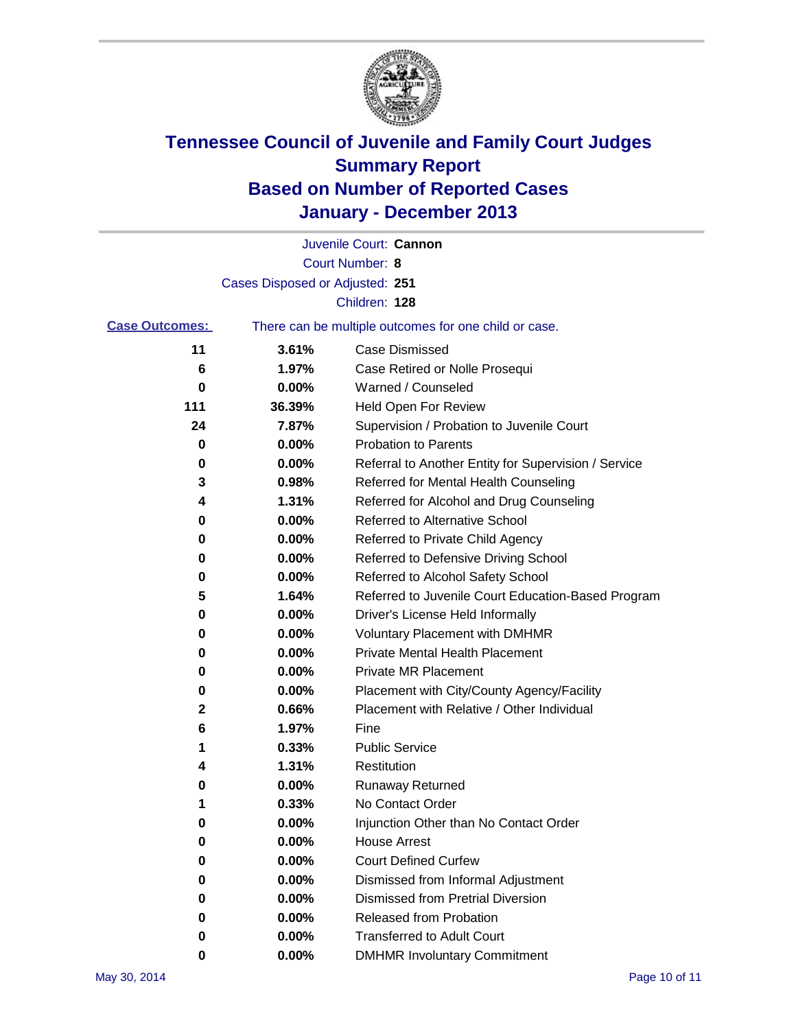

|                       |                                 | Juvenile Court: Cannon                                |
|-----------------------|---------------------------------|-------------------------------------------------------|
|                       |                                 | Court Number: 8                                       |
|                       | Cases Disposed or Adjusted: 251 |                                                       |
|                       |                                 | Children: 128                                         |
| <b>Case Outcomes:</b> |                                 | There can be multiple outcomes for one child or case. |
| 11                    | 3.61%                           | <b>Case Dismissed</b>                                 |
| 6                     | 1.97%                           | Case Retired or Nolle Prosequi                        |
| 0                     | 0.00%                           | Warned / Counseled                                    |
| 111                   | 36.39%                          | Held Open For Review                                  |
| 24                    | 7.87%                           | Supervision / Probation to Juvenile Court             |
| 0                     | 0.00%                           | <b>Probation to Parents</b>                           |
| 0                     | 0.00%                           | Referral to Another Entity for Supervision / Service  |
| 3                     | 0.98%                           | Referred for Mental Health Counseling                 |
| 4                     | 1.31%                           | Referred for Alcohol and Drug Counseling              |
| 0                     | 0.00%                           | Referred to Alternative School                        |
| 0                     | 0.00%                           | Referred to Private Child Agency                      |
| 0                     | 0.00%                           | Referred to Defensive Driving School                  |
| 0                     | 0.00%                           | Referred to Alcohol Safety School                     |
| 5                     | 1.64%                           | Referred to Juvenile Court Education-Based Program    |
| 0                     | 0.00%                           | Driver's License Held Informally                      |
| 0                     | 0.00%                           | <b>Voluntary Placement with DMHMR</b>                 |
| 0                     | 0.00%                           | <b>Private Mental Health Placement</b>                |
| 0                     | 0.00%                           | <b>Private MR Placement</b>                           |
| 0                     | 0.00%                           | Placement with City/County Agency/Facility            |
| 2                     | 0.66%                           | Placement with Relative / Other Individual            |
| 6                     | 1.97%                           | Fine                                                  |
| 1                     | 0.33%                           | <b>Public Service</b>                                 |
| 4                     | 1.31%                           | Restitution                                           |
| 0                     | 0.00%                           | <b>Runaway Returned</b>                               |
| 1                     | 0.33%                           | No Contact Order                                      |
| 0                     | 0.00%                           | Injunction Other than No Contact Order                |
| 0                     | 0.00%                           | <b>House Arrest</b>                                   |
| 0                     | 0.00%                           | <b>Court Defined Curfew</b>                           |
| 0                     | $0.00\%$                        | Dismissed from Informal Adjustment                    |
| 0                     | 0.00%                           | <b>Dismissed from Pretrial Diversion</b>              |
| 0                     | $0.00\%$                        | Released from Probation                               |
| 0                     | 0.00%                           | <b>Transferred to Adult Court</b>                     |
| 0                     | $0.00\%$                        | <b>DMHMR Involuntary Commitment</b>                   |